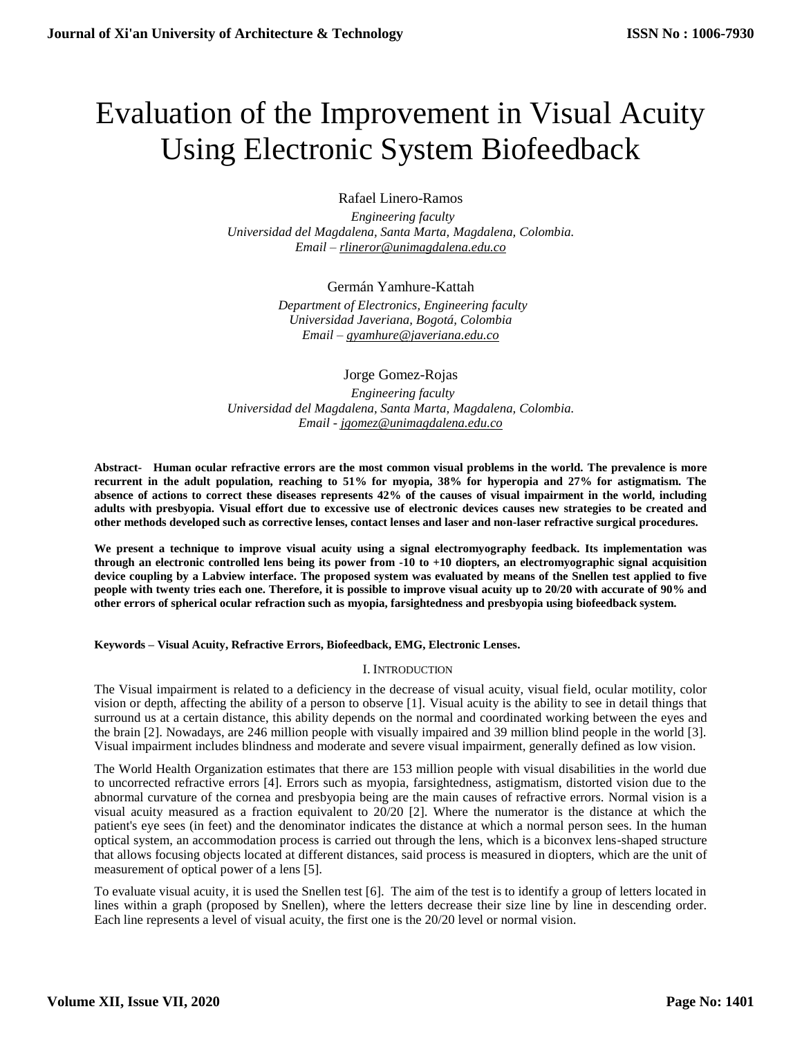# Evaluation of the Improvement in Visual Acuity Using Electronic System Biofeedback

Rafael Linero-Ramos

 *Engineering faculty Universidad del Magdalena, Santa Marta, Magdalena, Colombia. Email – [rlineror@unimagdalena.edu.co](mailto:rlineror@unimagdalena.edu.co)* 

Germán Yamhure-Kattah

 *Department of Electronics, Engineering faculty Universidad Javeriana, Bogotá, Colombia Email – [gyamhure@javeriana.edu.co](mailto:gyamhure@javeriana.edu.co)* 

Jorge Gomez-Rojas  *Engineering faculty Universidad del Magdalena, Santa Marta, Magdalena, Colombia. Email - [jgomez@unimagdalena.edu.co](mailto:jgomez@unimagdalena.edu.co)* 

**Abstract- Human ocular refractive errors are the most common visual problems in the world. The prevalence is more recurrent in the adult population, reaching to 51% for myopia, 38% for hyperopia and 27% for astigmatism. The absence of actions to correct these diseases represents 42% of the causes of visual impairment in the world, including adults with presbyopia. Visual effort due to excessive use of electronic devices causes new strategies to be created and other methods developed such as corrective lenses, contact lenses and laser and non-laser refractive surgical procedures.** 

**We present a technique to improve visual acuity using a signal electromyography feedback. Its implementation was through an electronic controlled lens being its power from -10 to +10 diopters, an electromyographic signal acquisition device coupling by a Labview interface. The proposed system was evaluated by means of the Snellen test applied to five people with twenty tries each one. Therefore, it is possible to improve visual acuity up to 20/20 with accurate of 90% and other errors of spherical ocular refraction such as myopia, farsightedness and presbyopia using biofeedback system.**

**Keywords – Visual Acuity, Refractive Errors, Biofeedback, EMG, Electronic Lenses.**

### I. INTRODUCTION

The Visual impairment is related to a deficiency in the decrease of visual acuity, visual field, ocular motility, color vision or depth, affecting the ability of a person to observe [1]. Visual acuity is the ability to see in detail things that surround us at a certain distance, this ability depends on the normal and coordinated working between the eyes and the brain [2]. Nowadays, are 246 million people with visually impaired and 39 million blind people in the world [3]. Visual impairment includes blindness and moderate and severe visual impairment, generally defined as low vision.

The World Health Organization estimates that there are 153 million people with visual disabilities in the world due to uncorrected refractive errors [4]. Errors such as myopia, farsightedness, astigmatism, distorted vision due to the abnormal curvature of the cornea and presbyopia being are the main causes of refractive errors. Normal vision is a visual acuity measured as a fraction equivalent to 20/20 [2]. Where the numerator is the distance at which the patient's eye sees (in feet) and the denominator indicates the distance at which a normal person sees. In the human optical system, an accommodation process is carried out through the lens, which is a biconvex lens-shaped structure that allows focusing objects located at different distances, said process is measured in diopters, which are the unit of measurement of optical power of a lens [5].

To evaluate visual acuity, it is used the Snellen test [6]. The aim of the test is to identify a group of letters located in lines within a graph (proposed by Snellen), where the letters decrease their size line by line in descending order. Each line represents a level of visual acuity, the first one is the 20/20 level or normal vision.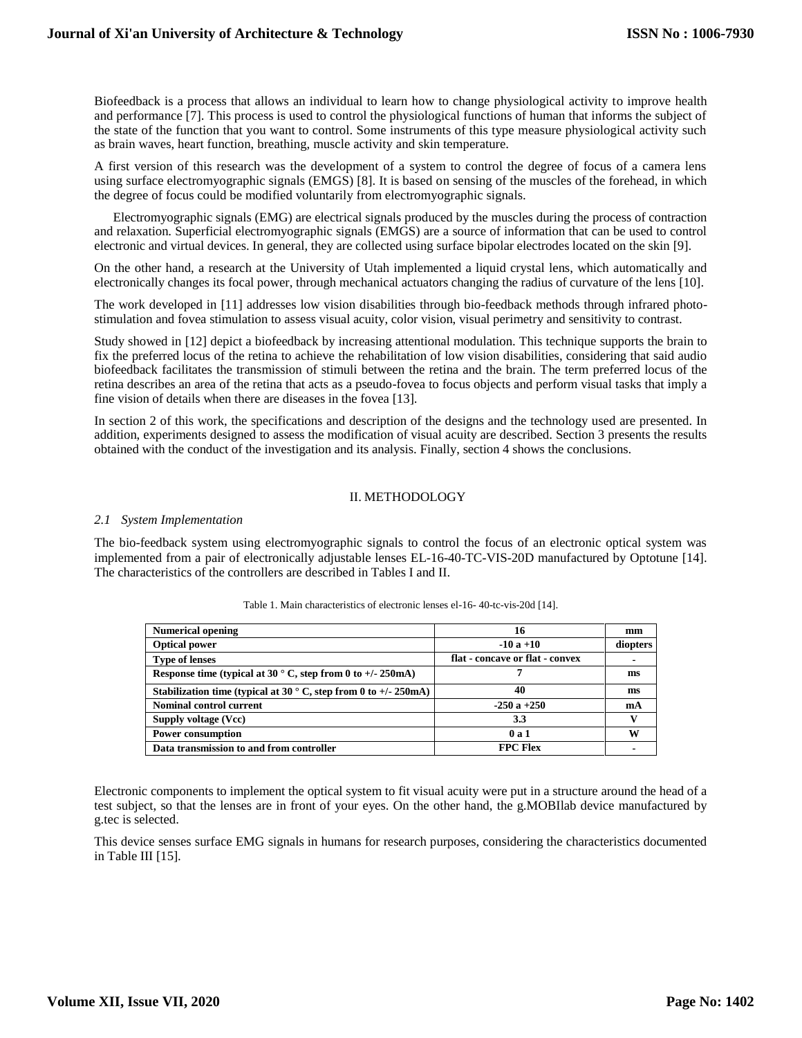Biofeedback is a process that allows an individual to learn how to change physiological activity to improve health and performance [7]. This process is used to control the physiological functions of human that informs the subject of the state of the function that you want to control. Some instruments of this type measure physiological activity such as brain waves, heart function, breathing, muscle activity and skin temperature.

A first version of this research was the development of a system to control the degree of focus of a camera lens using surface electromyographic signals (EMGS) [8]. It is based on sensing of the muscles of the forehead, in which the degree of focus could be modified voluntarily from electromyographic signals.

Electromyographic signals (EMG) are electrical signals produced by the muscles during the process of contraction and relaxation. Superficial electromyographic signals (EMGS) are a source of information that can be used to control electronic and virtual devices. In general, they are collected using surface bipolar electrodes located on the skin [9].

On the other hand, a research at the University of Utah implemented a liquid crystal lens, which automatically and electronically changes its focal power, through mechanical actuators changing the radius of curvature of the lens [10].

The work developed in [11] addresses low vision disabilities through bio-feedback methods through infrared photostimulation and fovea stimulation to assess visual acuity, color vision, visual perimetry and sensitivity to contrast.

Study showed in [12] depict a biofeedback by increasing attentional modulation. This technique supports the brain to fix the preferred locus of the retina to achieve the rehabilitation of low vision disabilities, considering that said audio biofeedback facilitates the transmission of stimuli between the retina and the brain. The term preferred locus of the retina describes an area of the retina that acts as a pseudo-fovea to focus objects and perform visual tasks that imply a fine vision of details when there are diseases in the fovea [13].

In section 2 of this work, the specifications and description of the designs and the technology used are presented. In addition, experiments designed to assess the modification of visual acuity are described. Section 3 presents the results obtained with the conduct of the investigation and its analysis. Finally, section 4 shows the conclusions.

# II. METHODOLOGY

### *2.1 System Implementation*

The bio-feedback system using electromyographic signals to control the focus of an electronic optical system was implemented from a pair of electronically adjustable lenses EL-16-40-TC-VIS-20D manufactured by Optotune [14]. The characteristics of the controllers are described in Tables I and II.

| <b>Numerical opening</b>                                                 | 16                              | mm       |
|--------------------------------------------------------------------------|---------------------------------|----------|
| <b>Optical power</b>                                                     | $-10a + 10$                     | diopters |
| <b>Type of lenses</b>                                                    | flat - concave or flat - convex |          |
| Response time (typical at 30 $\degree$ C, step from 0 to +/- 250mA)      |                                 | ms       |
| Stabilization time (typical at 30 $\degree$ C, step from 0 to +/- 250mA) | 40                              | ms       |
| Nominal control current                                                  | $-250a + 250$                   | mA       |
| Supply voltage (Vcc)                                                     | 3.3                             |          |
| <b>Power consumption</b>                                                 | 0a1                             | w        |
| Data transmission to and from controller                                 | <b>FPC Flex</b>                 |          |

Table 1. Main characteristics of electronic lenses el-16- 40-tc-vis-20d [14].

Electronic components to implement the optical system to fit visual acuity were put in a structure around the head of a test subject, so that the lenses are in front of your eyes. On the other hand, the g.MOBIlab device manufactured by g.tec is selected.

This device senses surface EMG signals in humans for research purposes, considering the characteristics documented in Table III [15].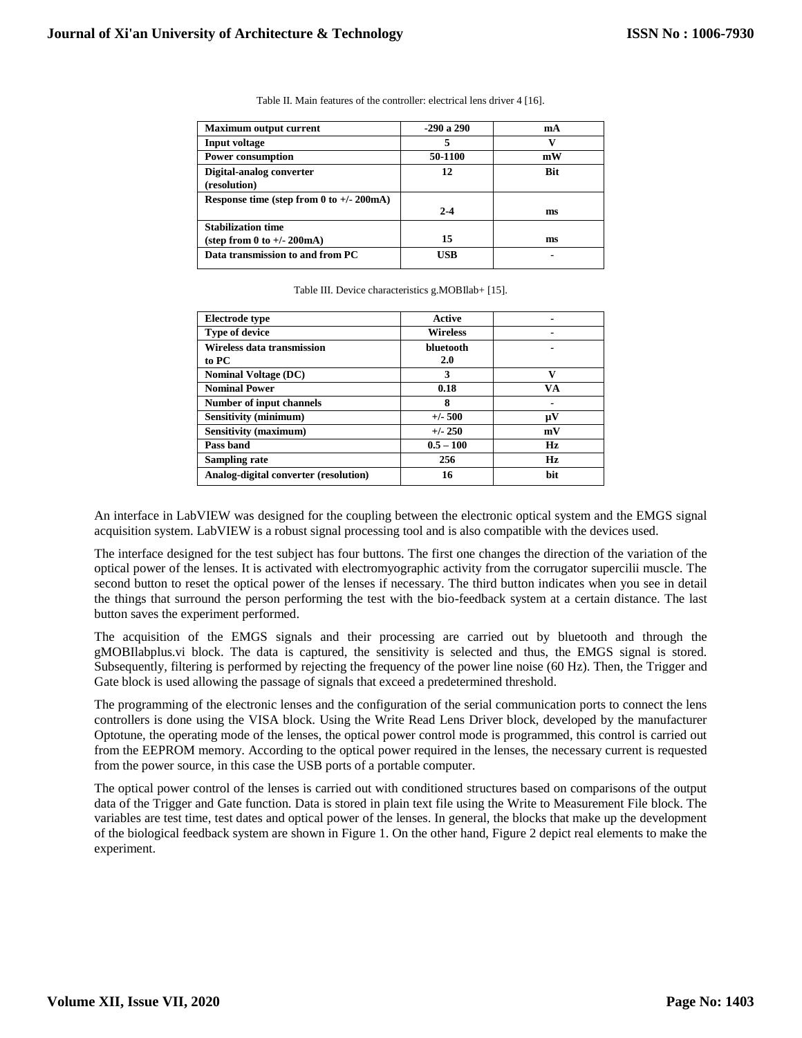| <b>Maximum output current</b>                              | $-290a$ 290 | mA         |
|------------------------------------------------------------|-------------|------------|
| <b>Input voltage</b>                                       |             |            |
| <b>Power consumption</b>                                   | 50-1100     | mW         |
| Digital-analog converter<br>(resolution)                   | 12          | <b>Bit</b> |
| Response time (step from 0 to $+/- 200 \text{mA}$ )        | $2 - 4$     | ms         |
| <b>Stabilization time</b><br>(step from 0 to $+/- 200$ mA) | 15          | ms         |
| Data transmission to and from PC                           | USB         |            |

Table II. Main features of the controller: electrical lens driver 4 [16].

Table III. Device characteristics g.MOBIlab+ [15].

| <b>Electrode type</b>                 | Active          |              |
|---------------------------------------|-----------------|--------------|
| <b>Type of device</b>                 | <b>Wireless</b> |              |
| Wireless data transmission            | bluetooth       |              |
| to PC                                 | 2.0             |              |
| <b>Nominal Voltage (DC)</b>           | 3               | $\mathbf{v}$ |
| <b>Nominal Power</b>                  | 0.18            | VA           |
| Number of input channels              | 8               |              |
| <b>Sensitivity (minimum)</b>          | $+/-$ 500       | μV           |
| Sensitivity (maximum)                 | $+/- 250$       | mV           |
| Pass band                             | $0.5 - 100$     | Hz           |
| <b>Sampling rate</b>                  | 256             | Hz           |
| Analog-digital converter (resolution) | 16              | <b>bit</b>   |

An interface in LabVIEW was designed for the coupling between the electronic optical system and the EMGS signal acquisition system. LabVIEW is a robust signal processing tool and is also compatible with the devices used.

The interface designed for the test subject has four buttons. The first one changes the direction of the variation of the optical power of the lenses. It is activated with electromyographic activity from the corrugator supercilii muscle. The second button to reset the optical power of the lenses if necessary. The third button indicates when you see in detail the things that surround the person performing the test with the bio-feedback system at a certain distance. The last button saves the experiment performed.

The acquisition of the EMGS signals and their processing are carried out by bluetooth and through the gMOBIlabplus.vi block. The data is captured, the sensitivity is selected and thus, the EMGS signal is stored. Subsequently, filtering is performed by rejecting the frequency of the power line noise (60 Hz). Then, the Trigger and Gate block is used allowing the passage of signals that exceed a predetermined threshold.

The programming of the electronic lenses and the configuration of the serial communication ports to connect the lens controllers is done using the VISA block. Using the Write Read Lens Driver block, developed by the manufacturer Optotune, the operating mode of the lenses, the optical power control mode is programmed, this control is carried out from the EEPROM memory. According to the optical power required in the lenses, the necessary current is requested from the power source, in this case the USB ports of a portable computer.

The optical power control of the lenses is carried out with conditioned structures based on comparisons of the output data of the Trigger and Gate function. Data is stored in plain text file using the Write to Measurement File block. The variables are test time, test dates and optical power of the lenses. In general, the blocks that make up the development of the biological feedback system are shown in Figure 1. On the other hand, Figure 2 depict real elements to make the experiment.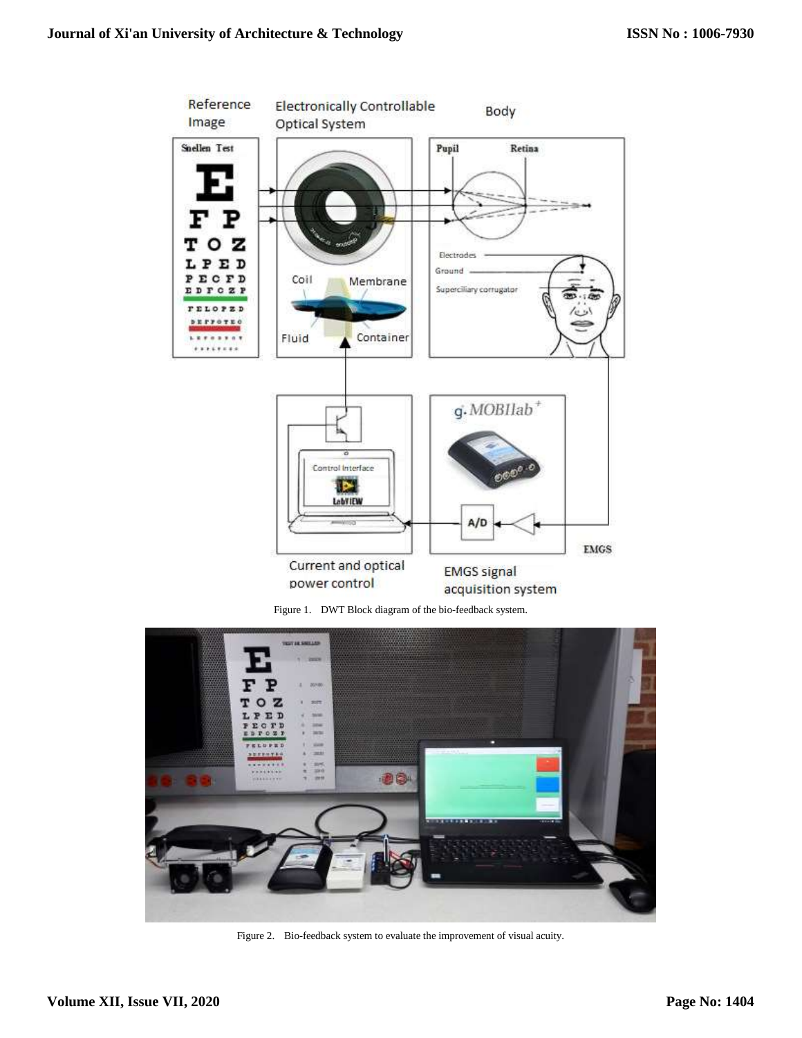

Figure 1. DWT Block diagram of the bio-feedback system.



Figure 2. Bio-feedback system to evaluate the improvement of visual acuity.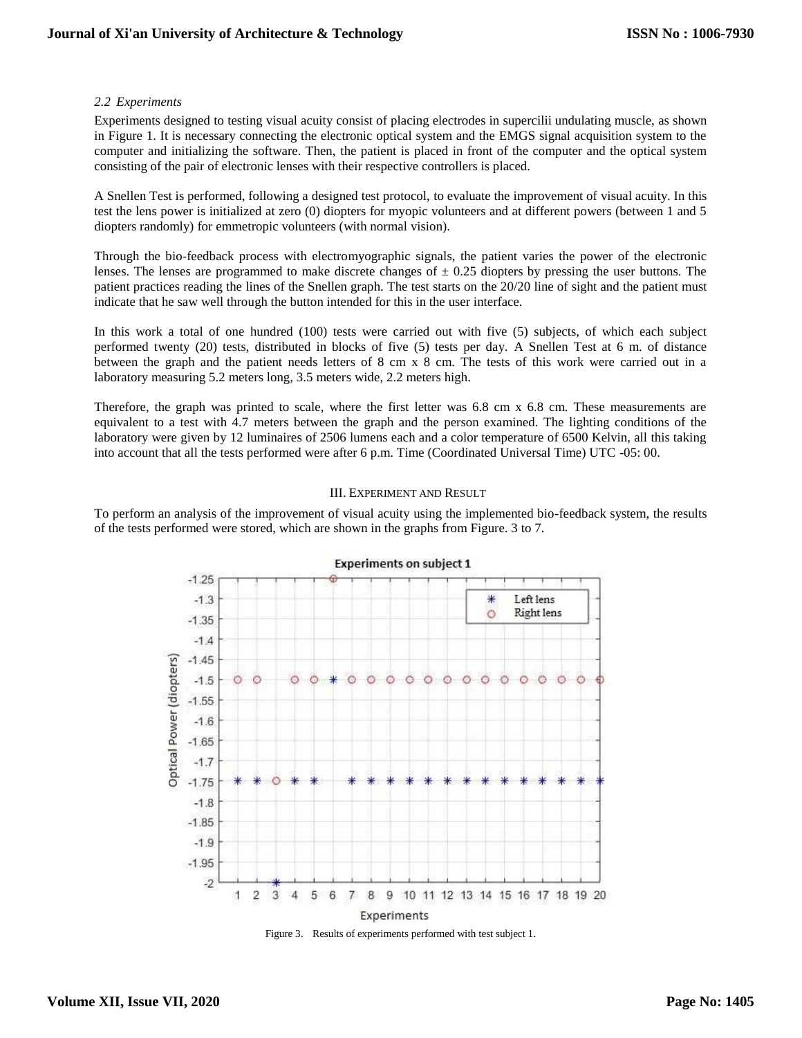# *2.2 Experiments*

Experiments designed to testing visual acuity consist of placing electrodes in supercilii undulating muscle, as shown in Figure 1. It is necessary connecting the electronic optical system and the EMGS signal acquisition system to the computer and initializing the software. Then, the patient is placed in front of the computer and the optical system consisting of the pair of electronic lenses with their respective controllers is placed.

A Snellen Test is performed, following a designed test protocol, to evaluate the improvement of visual acuity. In this test the lens power is initialized at zero (0) diopters for myopic volunteers and at different powers (between 1 and 5 diopters randomly) for emmetropic volunteers (with normal vision).

Through the bio-feedback process with electromyographic signals, the patient varies the power of the electronic lenses. The lenses are programmed to make discrete changes of  $\pm$  0.25 diopters by pressing the user buttons. The patient practices reading the lines of the Snellen graph. The test starts on the 20/20 line of sight and the patient must indicate that he saw well through the button intended for this in the user interface.

In this work a total of one hundred (100) tests were carried out with five (5) subjects, of which each subject performed twenty (20) tests, distributed in blocks of five (5) tests per day. A Snellen Test at 6 m. of distance between the graph and the patient needs letters of 8 cm x 8 cm. The tests of this work were carried out in a laboratory measuring 5.2 meters long, 3.5 meters wide, 2.2 meters high.

Therefore, the graph was printed to scale, where the first letter was 6.8 cm x 6.8 cm. These measurements are equivalent to a test with 4.7 meters between the graph and the person examined. The lighting conditions of the laboratory were given by 12 luminaires of 2506 lumens each and a color temperature of 6500 Kelvin, all this taking into account that all the tests performed were after 6 p.m. Time (Coordinated Universal Time) UTC -05: 00.

# III. EXPERIMENT AND RESULT

To perform an analysis of the improvement of visual acuity using the implemented bio-feedback system, the results of the tests performed were stored, which are shown in the graphs from Figure. 3 to 7.



Figure 3. Results of experiments performed with test subject 1.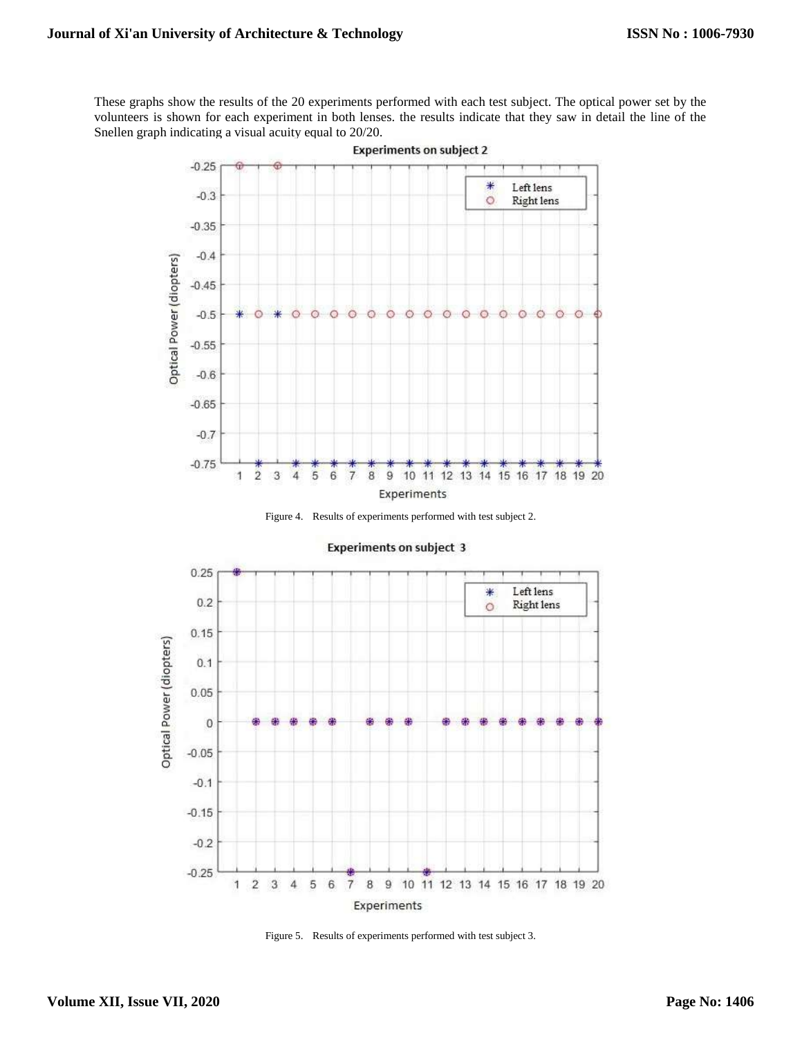These graphs show the results of the 20 experiments performed with each test subject. The optical power set by the volunteers is shown for each experiment in both lenses. the results indicate that they saw in detail the line of the Snellen graph indicating a visual acuity equal to 20/20.



Figure 4. Results of experiments performed with test subject 2.



**Experiments on subject 3** 

Figure 5. Results of experiments performed with test subject 3.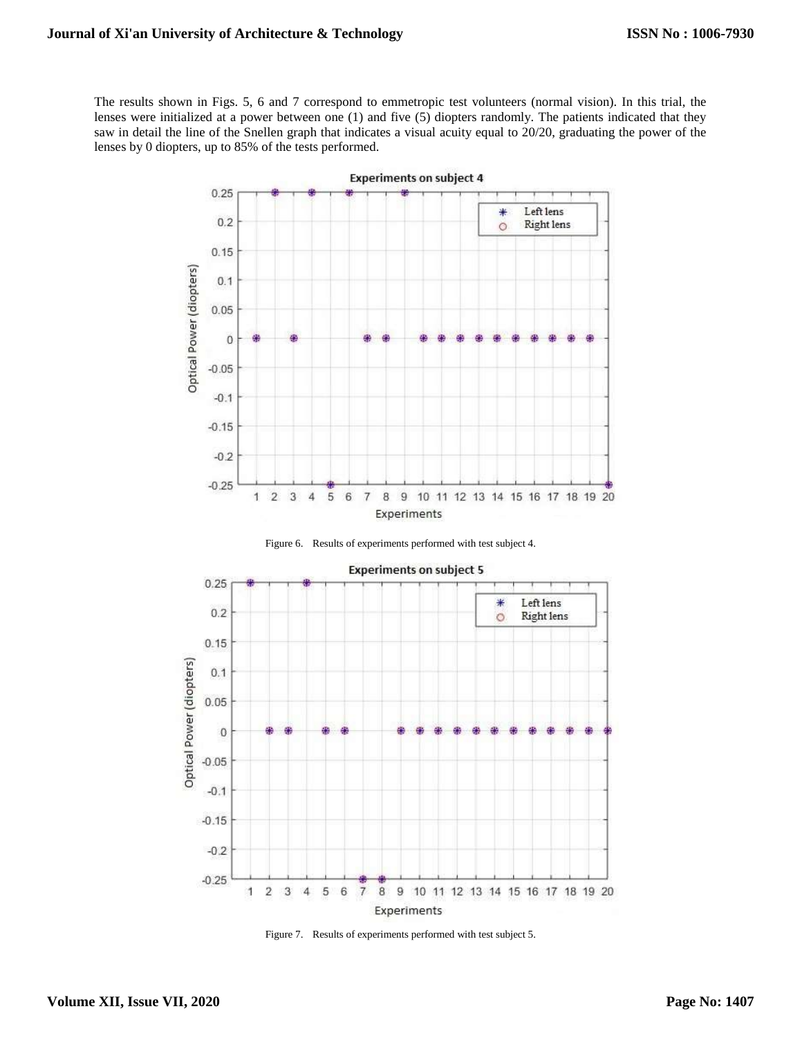The results shown in Figs. 5, 6 and 7 correspond to emmetropic test volunteers (normal vision). In this trial, the lenses were initialized at a power between one (1) and five (5) diopters randomly. The patients indicated that they saw in detail the line of the Snellen graph that indicates a visual acuity equal to 20/20, graduating the power of the lenses by 0 diopters, up to 85% of the tests performed.







Figure 7. Results of experiments performed with test subject 5.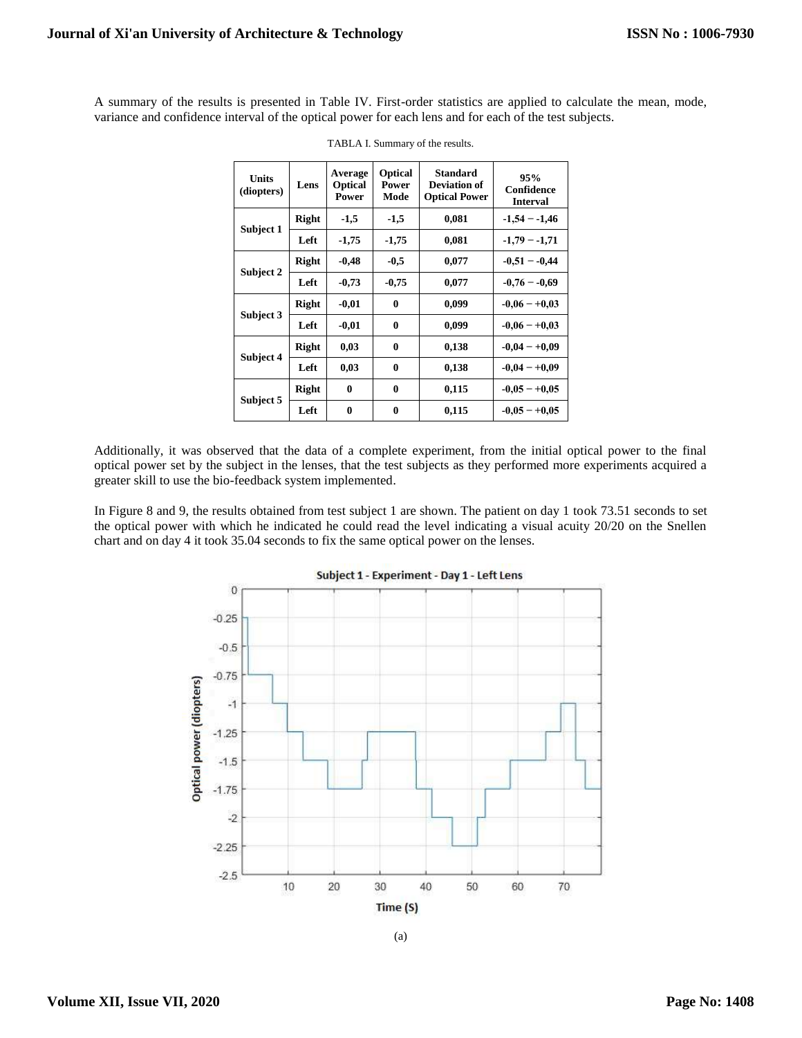A summary of the results is presented in Table IV. First-order statistics are applied to calculate the mean, mode, variance and confidence interval of the optical power for each lens and for each of the test subjects.

| <b>Units</b><br>(diopters) | Lens         | Average<br><b>Optical</b><br>Power | Optical<br>Power<br>Mode | <b>Standard</b><br>Deviation of<br><b>Optical Power</b> | 95%<br>Confidence<br>Interval |
|----------------------------|--------------|------------------------------------|--------------------------|---------------------------------------------------------|-------------------------------|
| Subject 1                  | <b>Right</b> | $-1,5$                             | $-1,5$                   | 0,081                                                   | $-1,54 - 1,46$                |
|                            | Left         | $-1,75$                            | $-1,75$                  | 0,081                                                   | $-1,79 - -1,71$               |
| Subject 2                  | <b>Right</b> | $-0,48$                            | $-0.5$                   | 0,077                                                   | $-0.51 - -0.44$               |
|                            | Left         | $-0,73$                            | $-0,75$                  | 0,077                                                   | $-0.76 - -0.69$               |
| Subject 3                  | <b>Right</b> | $-0,01$                            | $\bf{0}$                 | 0,099                                                   | $-0.06 - +0.03$               |
|                            | Left         | $-0.01$                            | $\bf{0}$                 | 0,099                                                   | $-0.06 - +0.03$               |
| Subject 4                  | <b>Right</b> | 0,03                               | $\bf{0}$                 | 0,138                                                   | $-0.04 - +0.09$               |
|                            | Left         | 0,03                               | $\bf{0}$                 | 0,138                                                   | $-0.04 - +0.09$               |
| Subject 5                  | Right        | 0                                  | $\bf{0}$                 | 0,115                                                   | $-0.05 - +0.05$               |
|                            | Left         | $\bf{0}$                           | $\mathbf{0}$             | 0,115                                                   | $-0.05 - +0.05$               |

TABLA I. Summary of the results.

Additionally, it was observed that the data of a complete experiment, from the initial optical power to the final optical power set by the subject in the lenses, that the test subjects as they performed more experiments acquired a greater skill to use the bio-feedback system implemented.

In Figure 8 and 9, the results obtained from test subject 1 are shown. The patient on day 1 took 73.51 seconds to set the optical power with which he indicated he could read the level indicating a visual acuity 20/20 on the Snellen chart and on day 4 it took 35.04 seconds to fix the same optical power on the lenses.



Subject 1 - Experiment - Day 1 - Left Lens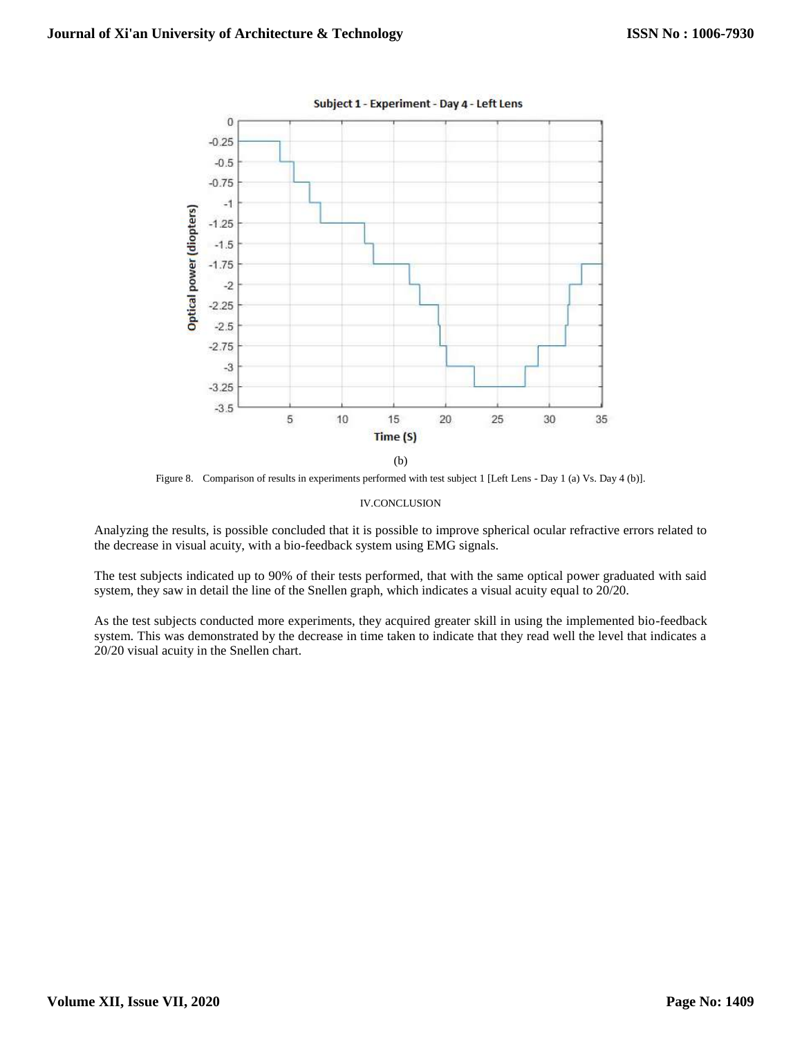

Figure 8. Comparison of results in experiments performed with test subject 1 [Left Lens - Day 1 (a) Vs. Day 4 (b)].

#### IV.CONCLUSION

Analyzing the results, is possible concluded that it is possible to improve spherical ocular refractive errors related to the decrease in visual acuity, with a bio-feedback system using EMG signals.

The test subjects indicated up to 90% of their tests performed, that with the same optical power graduated with said system, they saw in detail the line of the Snellen graph, which indicates a visual acuity equal to 20/20.

As the test subjects conducted more experiments, they acquired greater skill in using the implemented bio-feedback system. This was demonstrated by the decrease in time taken to indicate that they read well the level that indicates a 20/20 visual acuity in the Snellen chart.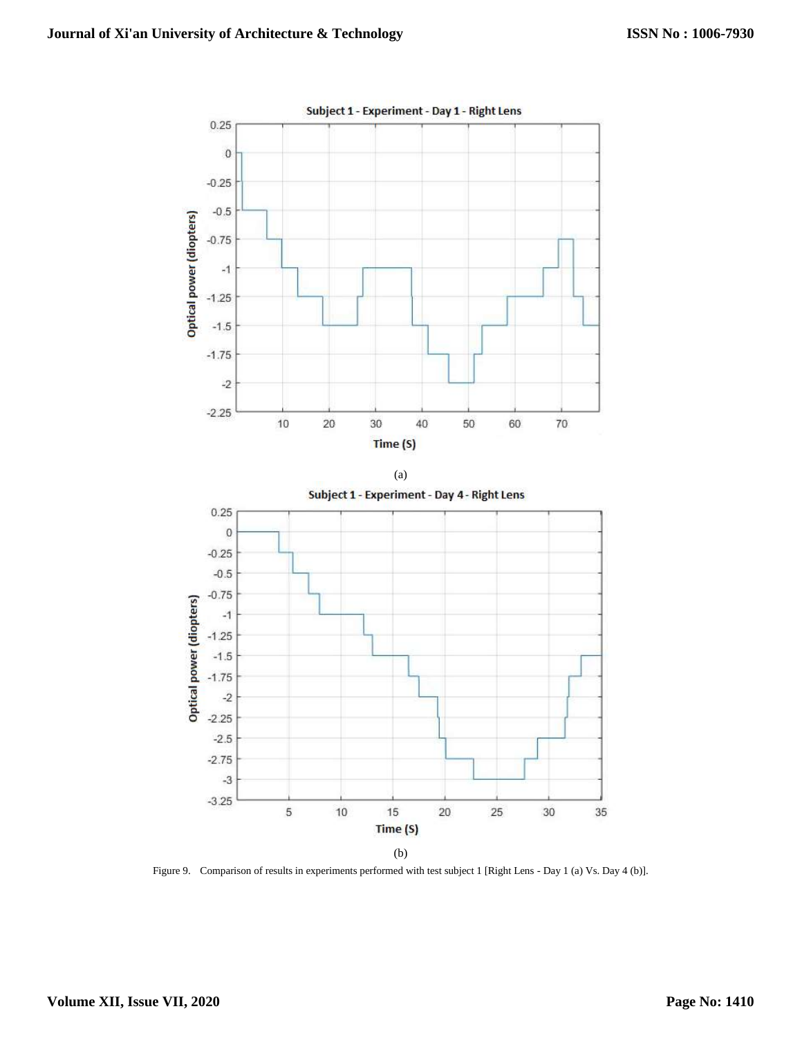

Figure 9. Comparison of results in experiments performed with test subject 1 [Right Lens - Day 1 (a) Vs. Day 4 (b)].